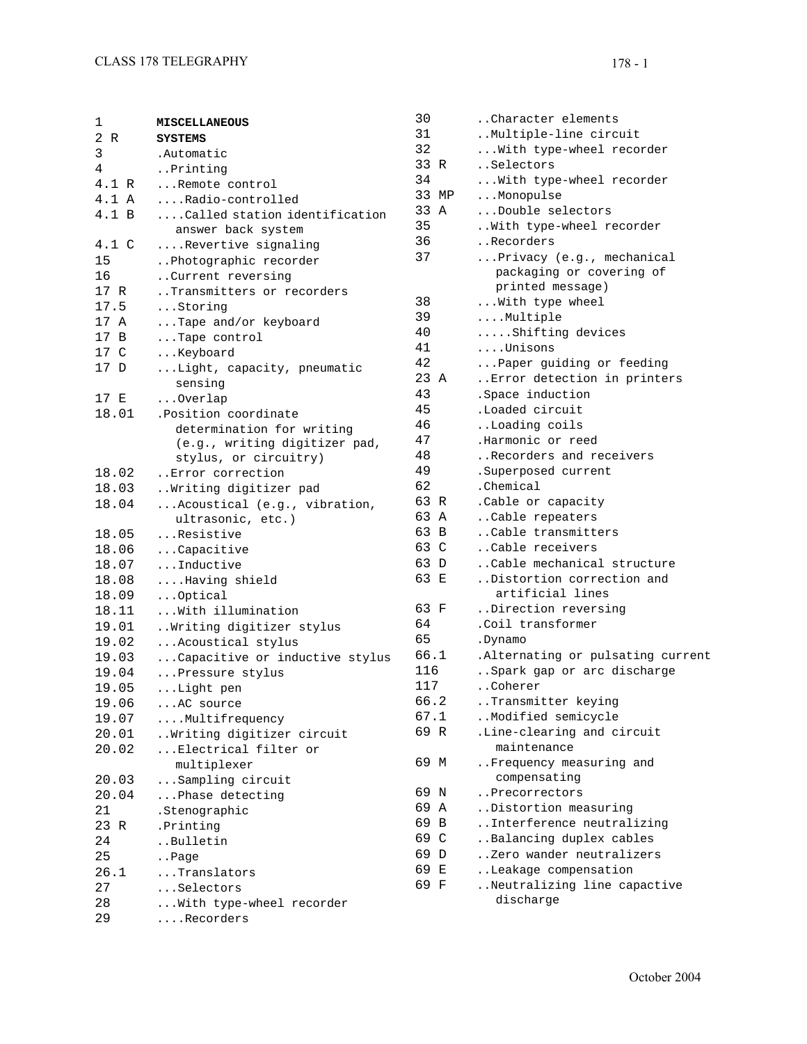| 1     | <b>MISCELLANEOUS</b>                   | 30    | Character elements.               |
|-------|----------------------------------------|-------|-----------------------------------|
| 2 R   | <b>SYSTEMS</b>                         | 31    | Multiple-line circuit             |
| 3     | .Automatic                             | 32    | With type-wheel recorder          |
| 4     | Printing                               | 33 R  | Selectors                         |
| 4.1 R | Remote control                         | 34    | With type-wheel recorder          |
| 4.1 A | Radio-controlled                       | 33 MP | Monopulse                         |
| 4.1 B | $\ldots$ Called station identification | 33 A  | Double selectors                  |
|       | answer back system                     | 35    | With type-wheel recorder          |
| 4.1 C | Revertive signaling                    | 36    | Recorders                         |
| 15    | Photographic recorder                  | 37    | Privacy (e.g., mechanical         |
| 16    | Current reversing                      |       | packaging or covering of          |
| 17 R  | Transmitters or recorders              |       | printed message)                  |
| 17.5  | Storing                                | 38    | With type wheel                   |
| 17 A  | Tape and/or keyboard                   | 39    | Multiple                          |
| 17 B  | Tape control                           | 40    | Shifting devices                  |
| 17 C  | Keyboard                               | 41    | Unisons                           |
| 17 D  | Light, capacity, pneumatic             | 42    | Paper guiding or feeding          |
|       | sensing                                | 23 A  | Error detection in printers       |
| 17 E  | $\ldots$ Overlap                       | 43    | . Space induction                 |
| 18.01 | .Position coordinate                   | 45    | .Loaded circuit                   |
|       | determination for writing              | 46    | Loading coils                     |
|       | (e.g., writing digitizer pad,          | 47    | .Harmonic or reed                 |
|       | stylus, or circuitry)                  | 48    | Recorders and receivers           |
| 18.02 | Error correction                       | 49    | .Superposed current               |
| 18.03 | Writing digitizer pad                  | 62    | .Chemical                         |
| 18.04 | Acoustical (e.g., vibration,           | 63 R  | .Cable or capacity                |
|       | ultrasonic, etc.)                      | 63 A  | Cable repeaters                   |
| 18.05 | Resistive                              | 63 B  | Cable transmitters                |
| 18.06 | Capacitive                             | 63 C  | Cable receivers                   |
| 18.07 | Inductive                              | 63 D  | Cable mechanical structure        |
| 18.08 | Having shield                          | 63 E  | Distortion correction and         |
| 18.09 | Optical                                |       | artificial lines                  |
| 18.11 | With illumination                      | 63 F  | Direction reversing               |
| 19.01 | Writing digitizer stylus               | 64    | .Coil transformer                 |
| 19.02 | Acoustical stylus                      | 65    | .Dynamo                           |
| 19.03 | Capacitive or inductive stylus         | 66.1  | .Alternating or pulsating current |
| 19.04 | Pressure stylus                        | 116   | Spark gap or arc discharge        |
| 19.05 | Light pen                              | 117   | Coherer                           |
| 19.06 | AC source                              | 66.2  | Transmitter keying.               |
| 19.07 | Multifrequency                         | 67.1  | Modified semicycle                |
| 20.01 | Writing digitizer circuit              | 69 R  | .Line-clearing and circuit        |
| 20.02 | Electrical filter or                   |       | maintenance                       |
|       | multiplexer                            | 69 M  | Frequency measuring and           |
| 20.03 | Sampling circuit                       |       | compensating                      |
| 20.04 | Phase detecting                        | 69 N  | Precorrectors                     |
| 21    | .Stenographic                          | 69 A  | Distortion measuring              |
| 23 R  | .Printing                              | 69 B  | Interference neutralizing         |
| 24    | Bulletin                               | 69 C  | Balancing duplex cables           |
| 25    | Page                                   | 69 D  | Zero wander neutralizers          |
| 26.1  | Translators                            | 69 E  | Leakage compensation              |
| 27    | Selectors                              | 69 F  | Neutralizing line capactive       |
| 28    | With type-wheel recorder               |       | discharge                         |
| 29    | Recorders                              |       |                                   |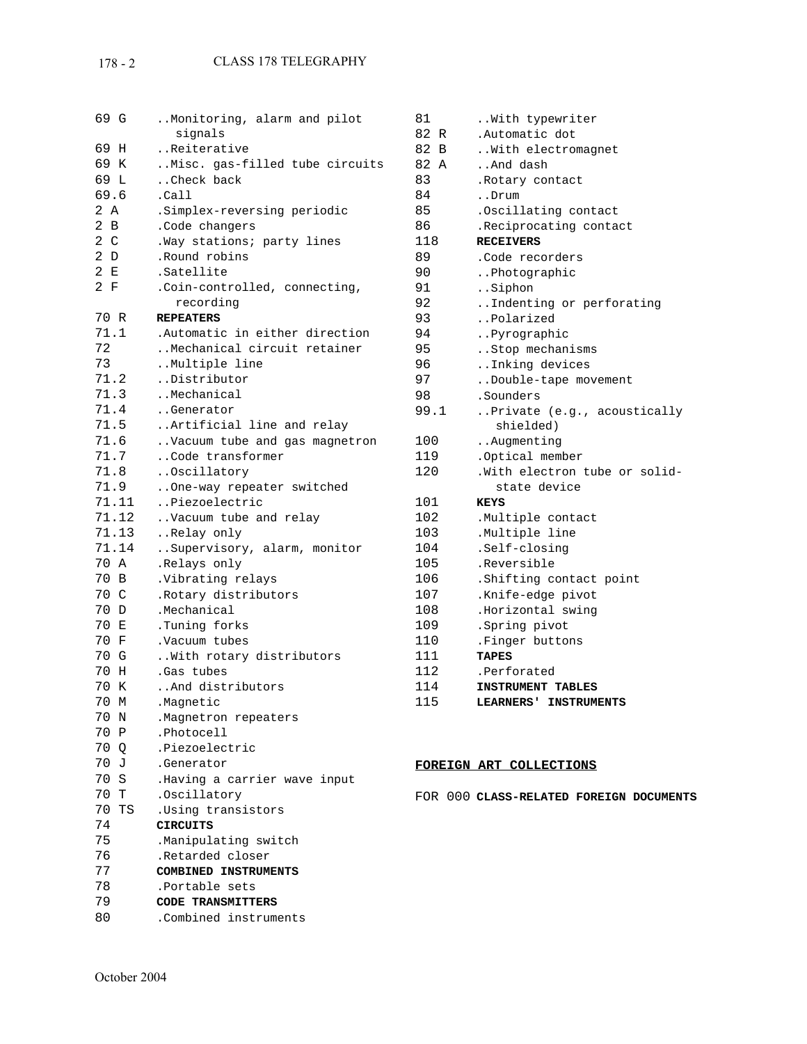## 178 - 2 CLASS 178 TELEGRAPHY

| 69 G           | Monitoring, alarm and pilot<br>signals |
|----------------|----------------------------------------|
|                |                                        |
| 69<br>Η        | Reiterative                            |
| 69 K           | Misc. gas-filled tube circuits         |
| 69 L           | Check back                             |
| 69.6           | .Ca11                                  |
| 2 A            | .Simplex-reversing periodic            |
| 2 B            | .Code changers                         |
| 2 <sub>c</sub> | .Way stations; party lines             |
| 2 D            | .Round robins                          |
| 2 E            | .Satellite                             |
| 2 F            | .Coin-controlled, connecting,          |
|                | recording                              |
| 70 R           | <b>REPEATERS</b>                       |
| 71.1           | Automatic in either direction.         |
| 72             | Mechanical circuit retainer            |
| 73             | Multiple line                          |
| 71.2           | Distributor                            |
| 71.3           | Mechanical                             |
| 71.4           | Generator                              |
| 71.5           | Artificial line and relay              |
| 71.6           | Vacuum tube and gas magnetron          |
| 71.7           | Code transformer                       |
| 71.8           | Oscillatory                            |
| 71.9           | One-way repeater switched              |
| 71.11          | Piezoelectric                          |
| 71.12          | Vacuum tube and relay                  |
| 71.13          | Relay only                             |
| 71.14          | Supervisory, alarm, monitor            |
| 70 A           | .Relays only                           |
| 70 B           | .Vibrating relays                      |
| 70 C           | . Rotary distributors                  |
| 70 D           | .Mechanical                            |
| 70 E           | .Tuning forks                          |
| 70 F           | .Vacuum tubes                          |
| 70 G           | With rotary distributors               |
| 70<br>н        | .Gas tubes                             |
| 70<br>Κ        | And distributors                       |
| 70 M           |                                        |
|                | .Magnetic                              |
| 70 N           | .Magnetron repeaters                   |
| 70 P           | .Photocell                             |
| 70 Q           | .Piezoelectric                         |
| 70 J           | .Generator                             |
| 70 S           | .Having a carrier wave input           |
| 70 T           | .Oscillatory                           |
| 70<br>TS       | .Using transistors                     |
| 74             | <b>CIRCUITS</b>                        |
| 75             | .Manipulating switch                   |
| 76             | .Retarded closer                       |
| 77             | COMBINED INSTRUMENTS                   |
| 78             | .Portable sets                         |
| 79             | CODE TRANSMITTERS                      |
| 80             | .Combined instruments                  |

| 81   | With typewriter               |
|------|-------------------------------|
| 82 R | .Automatic dot                |
| 82 B | With electromagnet            |
| 82 A | And dash                      |
| 83   | .Rotary contact               |
| 84   | Drum                          |
| 85   | .Oscillating contact          |
| 86   | . Reciprocating contact       |
| 118  | <b>RECEIVERS</b>              |
| 89   | .Code recorders               |
| 90   | Photographic                  |
| 91   | Siphon                        |
| 92   | Indenting or perforating      |
| 93   | Polarized                     |
| 94   | Pyrographic                   |
| 95   | Stop mechanisms               |
| 96   | Inking devices                |
| 97   | Double-tape movement          |
| 98   | .Sounders                     |
| 99.1 | Private (e.g., acoustically   |
|      | shielded)                     |
| 100  | Augmenting                    |
| 119  | .Optical member               |
| 120  | .With electron tube or solid- |
|      | state device                  |
| 101  | <b>KEYS</b>                   |
| 102  | .Multiple contact             |
| 103  | .Multiple line                |
| 104  | .Self-closing                 |
| 105  | .Reversible                   |
| 106  | .Shifting contact point       |
| 107  | .Knife-edge pivot             |
| 108  | .Horizontal swing             |
| 109  | .Spring pivot                 |
| 110  | .Finger buttons               |
| 111  | <b>TAPES</b>                  |
| 112  | .Perforated                   |
| 114  | <b>INSTRUMENT TABLES</b>      |
| 115  | LEARNERS' INSTRUMENTS         |

## **FOREIGN ART COLLECTIONS**

FOR 000 **CLASS-RELATED FOREIGN DOCUMENTS**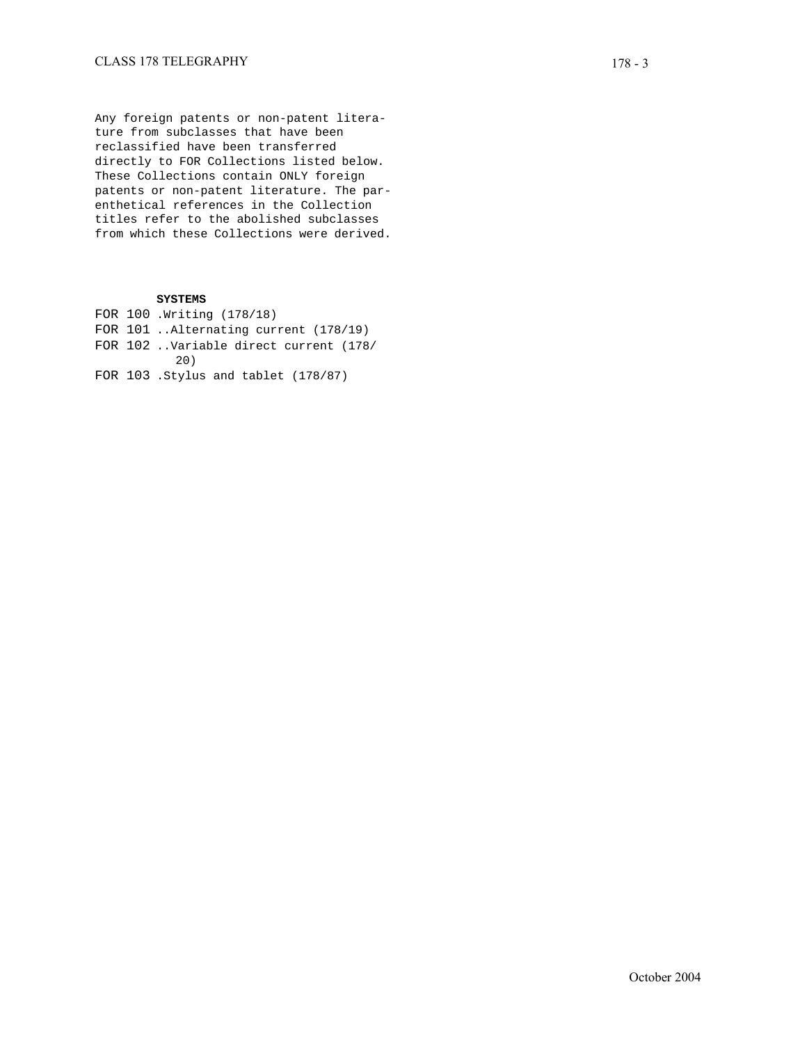Any foreign patents or non-patent litera ture from subclasses that have been reclassified have been transferred directly to FOR Collections listed below. These Collections contain ONLY foreign patents or non-patent literature. The par enthetical references in the Collection titles refer to the abolished subclasses from which these Collections were derived.

## **SYSTEMS**

FOR 100 .Writing (178/18) FOR 101 ..Alternating current (178/19) FOR 102 ..Variable direct current (178/ 20) FOR 103 .Stylus and tablet (178/87)